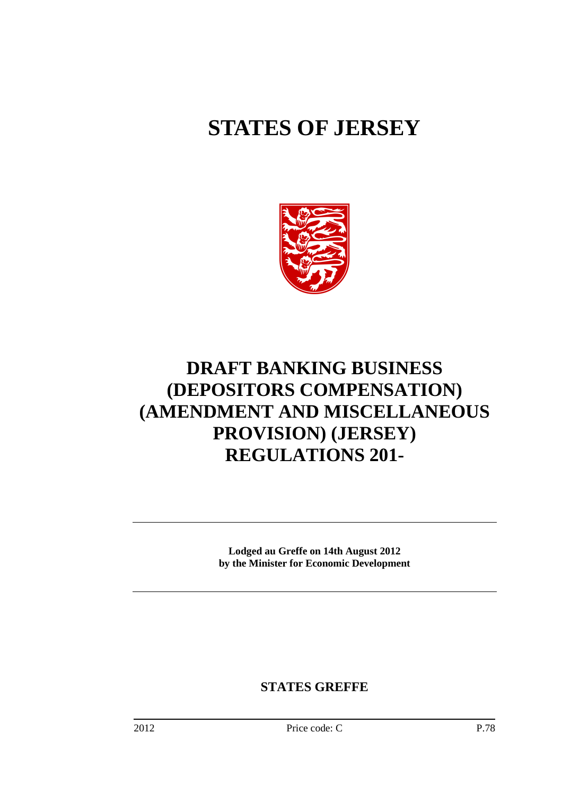# **STATES OF JERSEY**



# **DRAFT BANKING BUSINESS (DEPOSITORS COMPENSATION) (AMENDMENT AND MISCELLANEOUS PROVISION) (JERSEY) REGULATIONS 201-**

**Lodged au Greffe on 14th August 2012 by the Minister for Economic Development** 

**STATES GREFFE**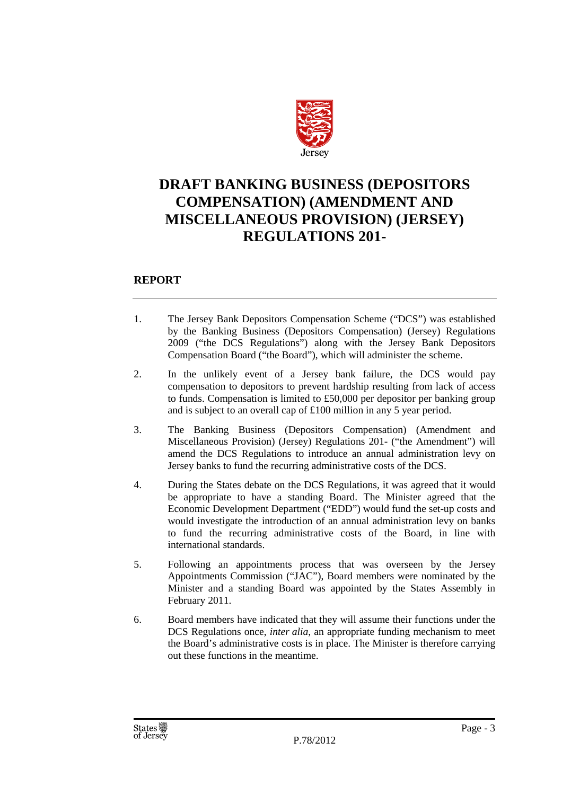

### **DRAFT BANKING BUSINESS (DEPOSITORS COMPENSATION) (AMENDMENT AND MISCELLANEOUS PROVISION) (JERSEY) REGULATIONS 201-**

#### **REPORT**

- 1. The Jersey Bank Depositors Compensation Scheme ("DCS") was established by the Banking Business (Depositors Compensation) (Jersey) Regulations 2009 ("the DCS Regulations") along with the Jersey Bank Depositors Compensation Board ("the Board"), which will administer the scheme.
- 2. In the unlikely event of a Jersey bank failure, the DCS would pay compensation to depositors to prevent hardship resulting from lack of access to funds. Compensation is limited to £50,000 per depositor per banking group and is subject to an overall cap of £100 million in any 5 year period.
- 3. The Banking Business (Depositors Compensation) (Amendment and Miscellaneous Provision) (Jersey) Regulations 201- ("the Amendment") will amend the DCS Regulations to introduce an annual administration levy on Jersey banks to fund the recurring administrative costs of the DCS.
- 4. During the States debate on the DCS Regulations, it was agreed that it would be appropriate to have a standing Board. The Minister agreed that the Economic Development Department ("EDD") would fund the set-up costs and would investigate the introduction of an annual administration levy on banks to fund the recurring administrative costs of the Board, in line with international standards.
- 5. Following an appointments process that was overseen by the Jersey Appointments Commission ("JAC"), Board members were nominated by the Minister and a standing Board was appointed by the States Assembly in February 2011.
- 6. Board members have indicated that they will assume their functions under the DCS Regulations once, *inter alia*, an appropriate funding mechanism to meet the Board's administrative costs is in place. The Minister is therefore carrying out these functions in the meantime.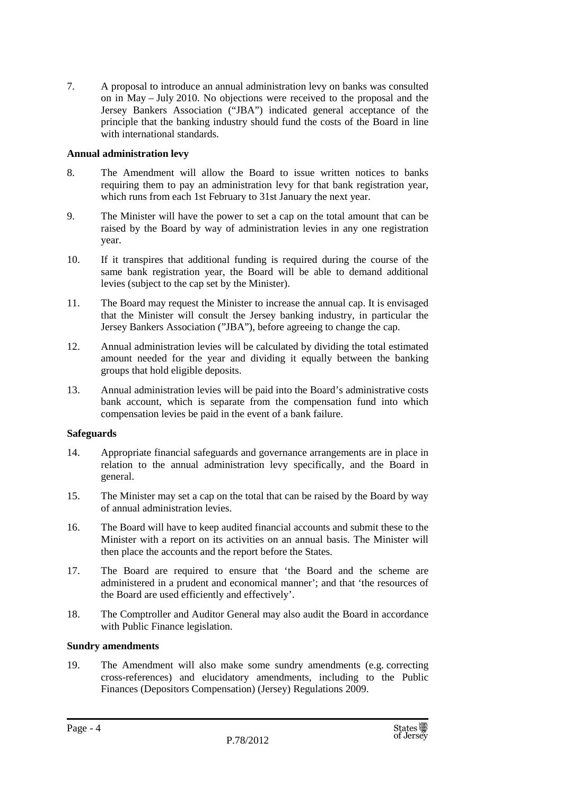7. A proposal to introduce an annual administration levy on banks was consulted on in May – July 2010. No objections were received to the proposal and the Jersey Bankers Association ("JBA") indicated general acceptance of the principle that the banking industry should fund the costs of the Board in line with international standards.

#### **Annual administration levy**

- 8. The Amendment will allow the Board to issue written notices to banks requiring them to pay an administration levy for that bank registration year, which runs from each 1st February to 31st January the next year.
- 9. The Minister will have the power to set a cap on the total amount that can be raised by the Board by way of administration levies in any one registration year.
- 10. If it transpires that additional funding is required during the course of the same bank registration year, the Board will be able to demand additional levies (subject to the cap set by the Minister).
- 11. The Board may request the Minister to increase the annual cap. It is envisaged that the Minister will consult the Jersey banking industry, in particular the Jersey Bankers Association ("JBA"), before agreeing to change the cap.
- 12. Annual administration levies will be calculated by dividing the total estimated amount needed for the year and dividing it equally between the banking groups that hold eligible deposits.
- 13. Annual administration levies will be paid into the Board's administrative costs bank account, which is separate from the compensation fund into which compensation levies be paid in the event of a bank failure.

#### **Safeguards**

- 14. Appropriate financial safeguards and governance arrangements are in place in relation to the annual administration levy specifically, and the Board in general.
- 15. The Minister may set a cap on the total that can be raised by the Board by way of annual administration levies.
- 16. The Board will have to keep audited financial accounts and submit these to the Minister with a report on its activities on an annual basis. The Minister will then place the accounts and the report before the States.
- 17. The Board are required to ensure that 'the Board and the scheme are administered in a prudent and economical manner'; and that 'the resources of the Board are used efficiently and effectively'.
- 18. The Comptroller and Auditor General may also audit the Board in accordance with Public Finance legislation.

#### **Sundry amendments**

19. The Amendment will also make some sundry amendments (e.g. correcting cross-references) and elucidatory amendments, including to the Public Finances (Depositors Compensation) (Jersey) Regulations 2009.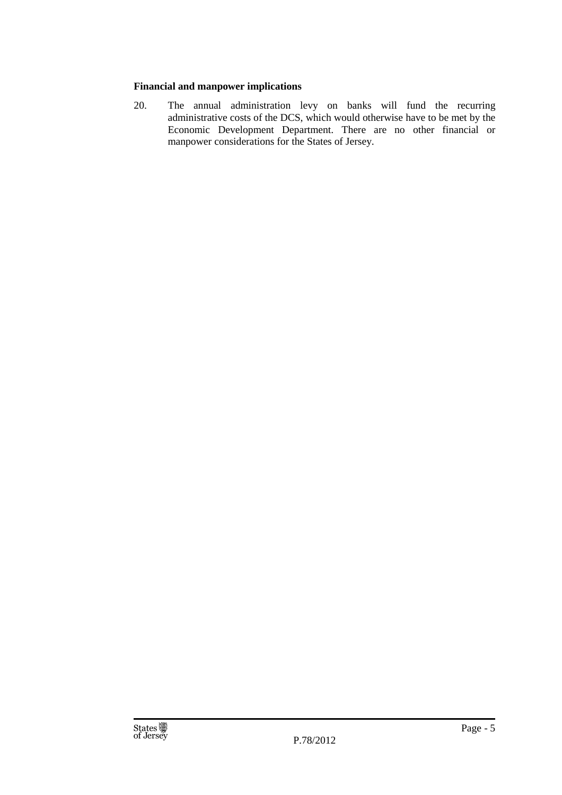#### **Financial and manpower implications**

20. The annual administration levy on banks will fund the recurring administrative costs of the DCS, which would otherwise have to be met by the Economic Development Department. There are no other financial or manpower considerations for the States of Jersey.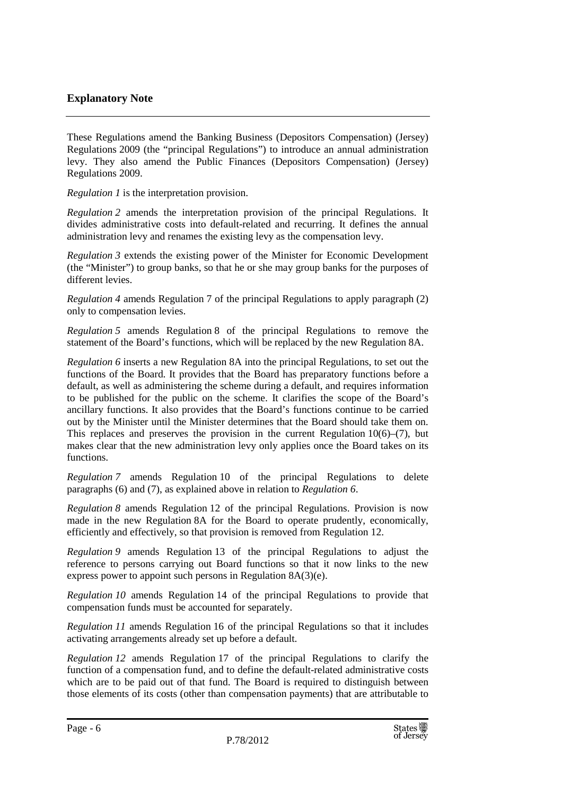#### **Explanatory Note**

These Regulations amend the Banking Business (Depositors Compensation) (Jersey) Regulations 2009 (the "principal Regulations") to introduce an annual administration levy. They also amend the Public Finances (Depositors Compensation) (Jersey) Regulations 2009.

*Regulation 1* is the interpretation provision.

*Regulation 2* amends the interpretation provision of the principal Regulations. It divides administrative costs into default-related and recurring. It defines the annual administration levy and renames the existing levy as the compensation levy.

*Regulation 3* extends the existing power of the Minister for Economic Development (the "Minister") to group banks, so that he or she may group banks for the purposes of different levies.

*Regulation 4* amends Regulation 7 of the principal Regulations to apply paragraph (2) only to compensation levies.

*Regulation 5* amends Regulation 8 of the principal Regulations to remove the statement of the Board's functions, which will be replaced by the new Regulation 8A.

*Regulation 6* inserts a new Regulation 8A into the principal Regulations, to set out the functions of the Board. It provides that the Board has preparatory functions before a default, as well as administering the scheme during a default, and requires information to be published for the public on the scheme. It clarifies the scope of the Board's ancillary functions. It also provides that the Board's functions continue to be carried out by the Minister until the Minister determines that the Board should take them on. This replaces and preserves the provision in the current Regulation  $10(6)$ – $(7)$ , but makes clear that the new administration levy only applies once the Board takes on its functions.

*Regulation 7* amends Regulation 10 of the principal Regulations to delete paragraphs (6) and (7), as explained above in relation to *Regulation 6*.

*Regulation 8* amends Regulation 12 of the principal Regulations. Provision is now made in the new Regulation 8A for the Board to operate prudently, economically, efficiently and effectively, so that provision is removed from Regulation 12.

*Regulation 9* amends Regulation 13 of the principal Regulations to adjust the reference to persons carrying out Board functions so that it now links to the new express power to appoint such persons in Regulation 8A(3)(e).

*Regulation 10* amends Regulation 14 of the principal Regulations to provide that compensation funds must be accounted for separately.

*Regulation 11* amends Regulation 16 of the principal Regulations so that it includes activating arrangements already set up before a default.

*Regulation 12* amends Regulation 17 of the principal Regulations to clarify the function of a compensation fund, and to define the default-related administrative costs which are to be paid out of that fund. The Board is required to distinguish between those elements of its costs (other than compensation payments) that are attributable to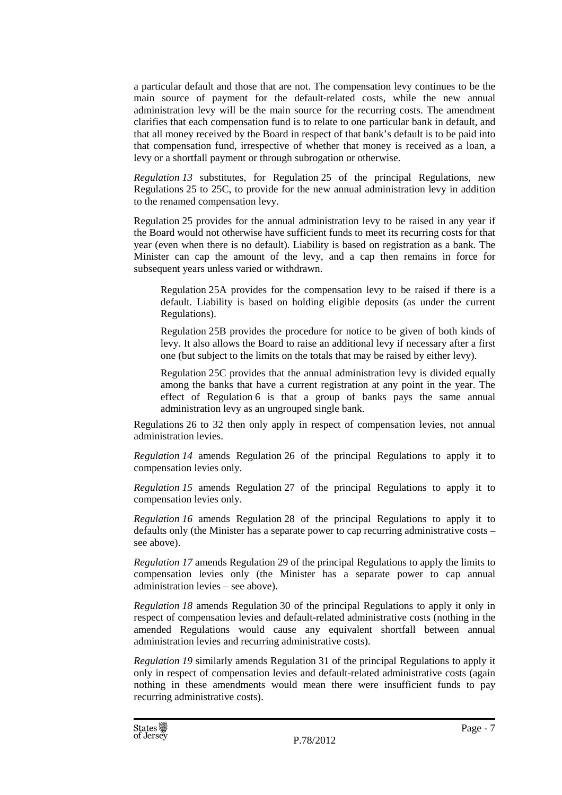a particular default and those that are not. The compensation levy continues to be the main source of payment for the default-related costs, while the new annual administration levy will be the main source for the recurring costs. The amendment clarifies that each compensation fund is to relate to one particular bank in default, and that all money received by the Board in respect of that bank's default is to be paid into that compensation fund, irrespective of whether that money is received as a loan, a levy or a shortfall payment or through subrogation or otherwise.

*Regulation 13* substitutes, for Regulation 25 of the principal Regulations, new Regulations 25 to 25C, to provide for the new annual administration levy in addition to the renamed compensation levy.

Regulation 25 provides for the annual administration levy to be raised in any year if the Board would not otherwise have sufficient funds to meet its recurring costs for that year (even when there is no default). Liability is based on registration as a bank. The Minister can cap the amount of the levy, and a cap then remains in force for subsequent years unless varied or withdrawn.

Regulation 25A provides for the compensation levy to be raised if there is a default. Liability is based on holding eligible deposits (as under the current Regulations).

Regulation 25B provides the procedure for notice to be given of both kinds of levy. It also allows the Board to raise an additional levy if necessary after a first one (but subject to the limits on the totals that may be raised by either levy).

Regulation 25C provides that the annual administration levy is divided equally among the banks that have a current registration at any point in the year. The effect of Regulation 6 is that a group of banks pays the same annual administration levy as an ungrouped single bank.

Regulations 26 to 32 then only apply in respect of compensation levies, not annual administration levies.

*Regulation 14* amends Regulation 26 of the principal Regulations to apply it to compensation levies only.

*Regulation 15* amends Regulation 27 of the principal Regulations to apply it to compensation levies only.

*Regulation 16* amends Regulation 28 of the principal Regulations to apply it to defaults only (the Minister has a separate power to cap recurring administrative costs – see above).

*Regulation 17* amends Regulation 29 of the principal Regulations to apply the limits to compensation levies only (the Minister has a separate power to cap annual administration levies – see above).

*Regulation 18* amends Regulation 30 of the principal Regulations to apply it only in respect of compensation levies and default-related administrative costs (nothing in the amended Regulations would cause any equivalent shortfall between annual administration levies and recurring administrative costs).

*Regulation 19* similarly amends Regulation 31 of the principal Regulations to apply it only in respect of compensation levies and default-related administrative costs (again nothing in these amendments would mean there were insufficient funds to pay recurring administrative costs).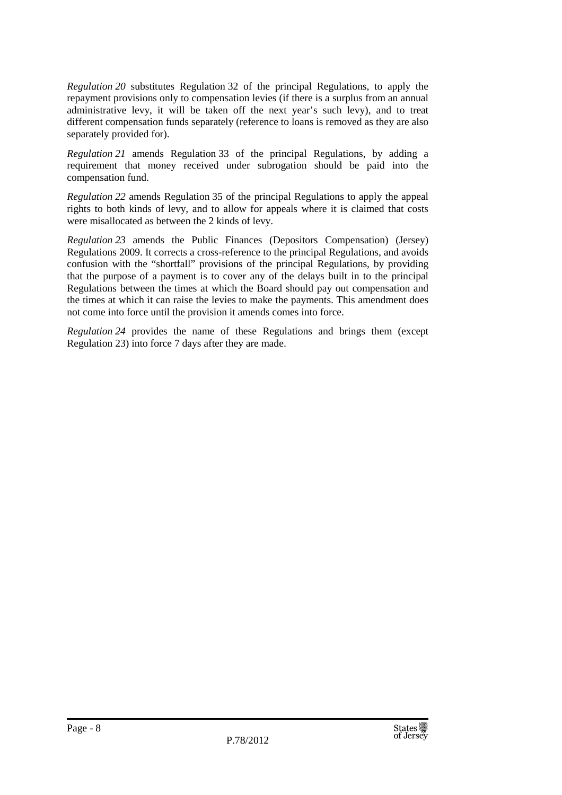*Regulation 20* substitutes Regulation 32 of the principal Regulations, to apply the repayment provisions only to compensation levies (if there is a surplus from an annual administrative levy, it will be taken off the next year's such levy), and to treat different compensation funds separately (reference to loans is removed as they are also separately provided for).

*Regulation 21* amends Regulation 33 of the principal Regulations, by adding a requirement that money received under subrogation should be paid into the compensation fund.

*Regulation 22* amends Regulation 35 of the principal Regulations to apply the appeal rights to both kinds of levy, and to allow for appeals where it is claimed that costs were misallocated as between the 2 kinds of levy.

*Regulation 23* amends the Public Finances (Depositors Compensation) (Jersey) Regulations 2009. It corrects a cross-reference to the principal Regulations, and avoids confusion with the "shortfall" provisions of the principal Regulations, by providing that the purpose of a payment is to cover any of the delays built in to the principal Regulations between the times at which the Board should pay out compensation and the times at which it can raise the levies to make the payments. This amendment does not come into force until the provision it amends comes into force.

*Regulation 24* provides the name of these Regulations and brings them (except Regulation 23) into force 7 days after they are made.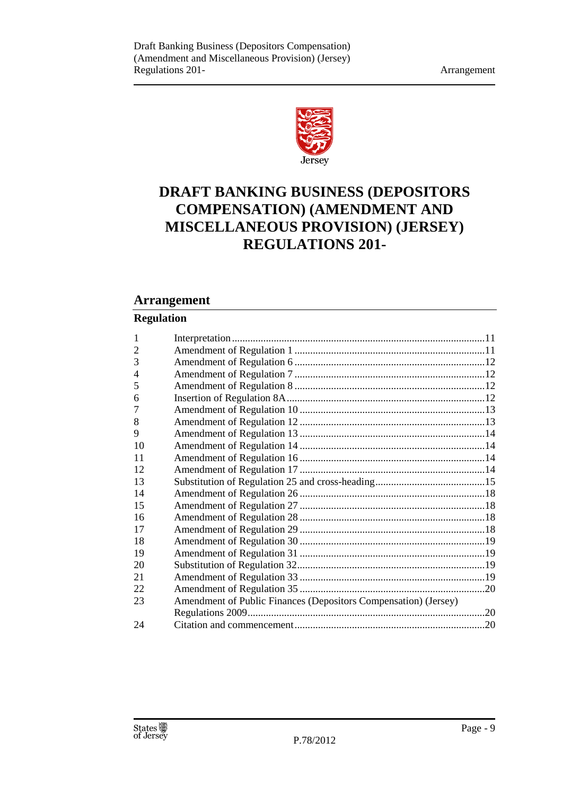

## **DRAFT BANKING BUSINESS (DEPOSITORS COMPENSATION) (AMENDMENT AND MISCELLANEOUS PROVISION) (JERSEY) REGULATIONS 201-**

### **Arrangement**

#### **Regulation**

| 1  |                                                                 |  |
|----|-----------------------------------------------------------------|--|
| 2  |                                                                 |  |
| 3  |                                                                 |  |
| 4  |                                                                 |  |
| 5  |                                                                 |  |
| 6  |                                                                 |  |
| 7  |                                                                 |  |
| 8  |                                                                 |  |
| 9  |                                                                 |  |
| 10 |                                                                 |  |
| 11 |                                                                 |  |
| 12 |                                                                 |  |
| 13 |                                                                 |  |
| 14 |                                                                 |  |
| 15 |                                                                 |  |
| 16 |                                                                 |  |
| 17 |                                                                 |  |
| 18 |                                                                 |  |
| 19 |                                                                 |  |
| 20 |                                                                 |  |
| 21 |                                                                 |  |
| 22 |                                                                 |  |
| 23 | Amendment of Public Finances (Depositors Compensation) (Jersey) |  |
|    |                                                                 |  |
| 24 |                                                                 |  |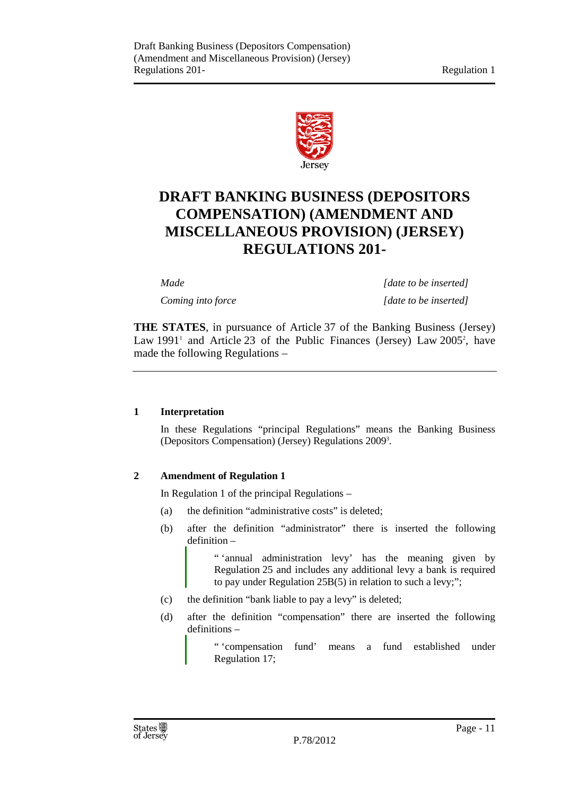

### **DRAFT BANKING BUSINESS (DEPOSITORS COMPENSATION) (AMENDMENT AND MISCELLANEOUS PROVISION) (JERSEY) REGULATIONS 201-**

*Made [date to be inserted] Coming into force* [date to be inserted]

**THE STATES**, in pursuance of Article 37 of the Banking Business (Jersey) Law  $1991<sup>1</sup>$  and Article 23 of the Public Finances (Jersey) Law  $2005<sup>2</sup>$ , have made the following Regulations –

#### **1 Interpretation**

In these Regulations "principal Regulations" means the Banking Business (Depositors Compensation) (Jersey) Regulations 2009<sup>3</sup> .

#### **2 Amendment of Regulation 1**

In Regulation 1 of the principal Regulations –

- (a) the definition "administrative costs" is deleted;
- (b) after the definition "administrator" there is inserted the following definition –

" 'annual administration levy' has the meaning given by Regulation 25 and includes any additional levy a bank is required to pay under Regulation 25B(5) in relation to such a levy;";

- (c) the definition "bank liable to pay a levy" is deleted;
- (d) after the definition "compensation" there are inserted the following definitions –

" 'compensation fund' means a fund established under Regulation 17;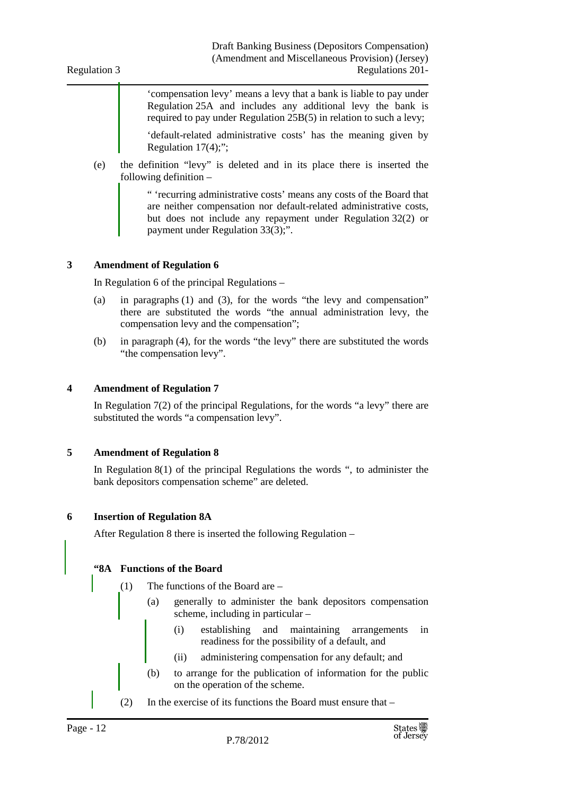'compensation levy' means a levy that a bank is liable to pay under Regulation 25A and includes any additional levy the bank is required to pay under Regulation 25B(5) in relation to such a levy;

'default-related administrative costs' has the meaning given by Regulation 17(4);";

(e) the definition "levy" is deleted and in its place there is inserted the following definition –

> " 'recurring administrative costs' means any costs of the Board that are neither compensation nor default-related administrative costs, but does not include any repayment under Regulation 32(2) or payment under Regulation 33(3);".

#### **3 Amendment of Regulation 6**

In Regulation 6 of the principal Regulations –

- (a) in paragraphs (1) and (3), for the words "the levy and compensation" there are substituted the words "the annual administration levy, the compensation levy and the compensation";
- (b) in paragraph (4), for the words "the levy" there are substituted the words "the compensation levy".

#### **4 Amendment of Regulation 7**

In Regulation 7(2) of the principal Regulations, for the words "a levy" there are substituted the words "a compensation levy".

#### **5 Amendment of Regulation 8**

In Regulation 8(1) of the principal Regulations the words ", to administer the bank depositors compensation scheme" are deleted.

#### **6 Insertion of Regulation 8A**

After Regulation 8 there is inserted the following Regulation –

#### **"8A Functions of the Board**

- (1) The functions of the Board are
	- (a) generally to administer the bank depositors compensation scheme, including in particular –
		- (i) establishing and maintaining arrangements in readiness for the possibility of a default, and
		- (ii) administering compensation for any default; and
	- (b) to arrange for the publication of information for the public on the operation of the scheme.
- (2) In the exercise of its functions the Board must ensure that –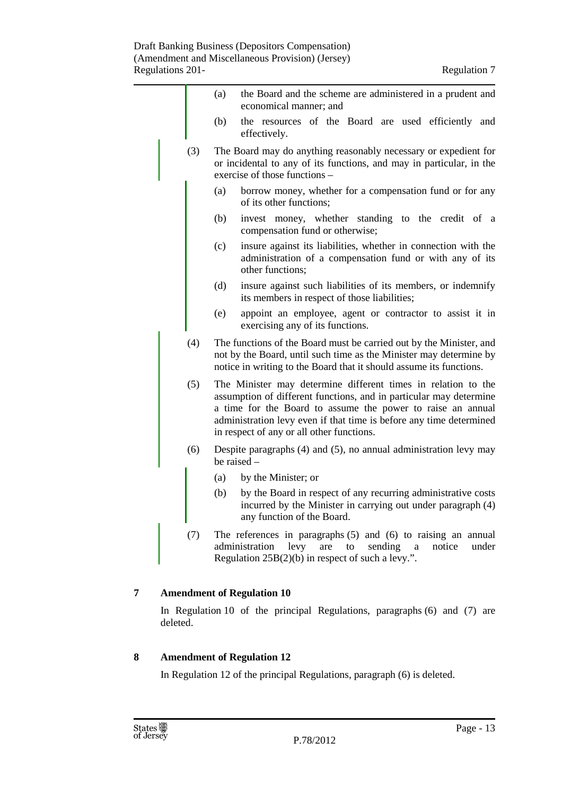|     | the Board and the scheme are administered in a prudent and<br>(a)<br>economical manner; and                                                                                                                                                                                                                            |  |  |
|-----|------------------------------------------------------------------------------------------------------------------------------------------------------------------------------------------------------------------------------------------------------------------------------------------------------------------------|--|--|
|     | (b)<br>the resources of the Board are used efficiently and<br>effectively.                                                                                                                                                                                                                                             |  |  |
| (3) | The Board may do anything reasonably necessary or expedient for<br>or incidental to any of its functions, and may in particular, in the<br>exercise of those functions –                                                                                                                                               |  |  |
|     | borrow money, whether for a compensation fund or for any<br>(a)<br>of its other functions;                                                                                                                                                                                                                             |  |  |
|     | invest money, whether standing to the credit of a<br>(b)<br>compensation fund or otherwise;                                                                                                                                                                                                                            |  |  |
|     | insure against its liabilities, whether in connection with the<br>(c)<br>administration of a compensation fund or with any of its<br>other functions;                                                                                                                                                                  |  |  |
|     | (d)<br>insure against such liabilities of its members, or indemnify<br>its members in respect of those liabilities;                                                                                                                                                                                                    |  |  |
|     | appoint an employee, agent or contractor to assist it in<br>(e)<br>exercising any of its functions.                                                                                                                                                                                                                    |  |  |
| (4) | The functions of the Board must be carried out by the Minister, and<br>not by the Board, until such time as the Minister may determine by<br>notice in writing to the Board that it should assume its functions.                                                                                                       |  |  |
| (5) | The Minister may determine different times in relation to the<br>assumption of different functions, and in particular may determine<br>a time for the Board to assume the power to raise an annual<br>administration levy even if that time is before any time determined<br>in respect of any or all other functions. |  |  |
| (6) | Despite paragraphs (4) and (5), no annual administration levy may<br>be raised $-$                                                                                                                                                                                                                                     |  |  |
|     | by the Minister; or<br>(a)                                                                                                                                                                                                                                                                                             |  |  |
|     | by the Board in respect of any recurring administrative costs<br>(b)<br>incurred by the Minister in carrying out under paragraph (4)<br>any function of the Board.                                                                                                                                                     |  |  |
| (7) | The references in paragraphs $(5)$ and $(6)$ to raising an annual<br>administration<br>levy<br>are<br>to<br>sending a<br>notice<br>under<br>Regulation $25B(2)(b)$ in respect of such a levy.".                                                                                                                        |  |  |

#### **7 Amendment of Regulation 10**

In Regulation 10 of the principal Regulations, paragraphs (6) and (7) are deleted.

#### **8 Amendment of Regulation 12**

In Regulation 12 of the principal Regulations, paragraph (6) is deleted.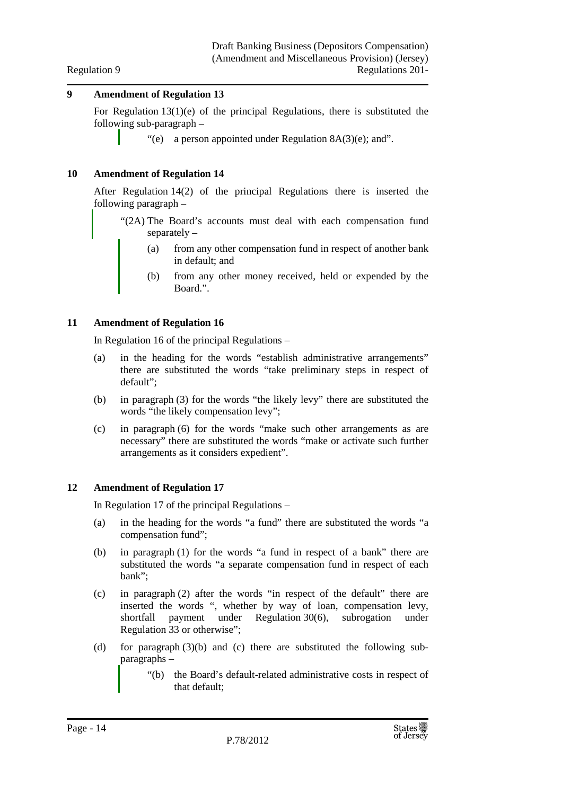#### **9 Amendment of Regulation 13**

For Regulation  $13(1)(e)$  of the principal Regulations, there is substituted the following sub-paragraph –

"(e) a person appointed under Regulation  $8A(3)(e)$ ; and".

#### **10 Amendment of Regulation 14**

After Regulation 14(2) of the principal Regulations there is inserted the following paragraph –

"(2A) The Board's accounts must deal with each compensation fund separately –

- (a) from any other compensation fund in respect of another bank in default; and
- (b) from any other money received, held or expended by the Board.".

#### **11 Amendment of Regulation 16**

In Regulation 16 of the principal Regulations –

- (a) in the heading for the words "establish administrative arrangements" there are substituted the words "take preliminary steps in respect of default";
- (b) in paragraph (3) for the words "the likely levy" there are substituted the words "the likely compensation levy";
- (c) in paragraph (6) for the words "make such other arrangements as are necessary" there are substituted the words "make or activate such further arrangements as it considers expedient".

#### **12 Amendment of Regulation 17**

In Regulation 17 of the principal Regulations –

- (a) in the heading for the words "a fund" there are substituted the words "a compensation fund";
- (b) in paragraph (1) for the words "a fund in respect of a bank" there are substituted the words "a separate compensation fund in respect of each bank";
- (c) in paragraph (2) after the words "in respect of the default" there are inserted the words ", whether by way of loan, compensation levy, shortfall payment under Regulation 30(6), subrogation under Regulation 33 or otherwise";
- (d) for paragraph (3)(b) and (c) there are substituted the following subparagraphs –
	- "(b) the Board's default-related administrative costs in respect of that default;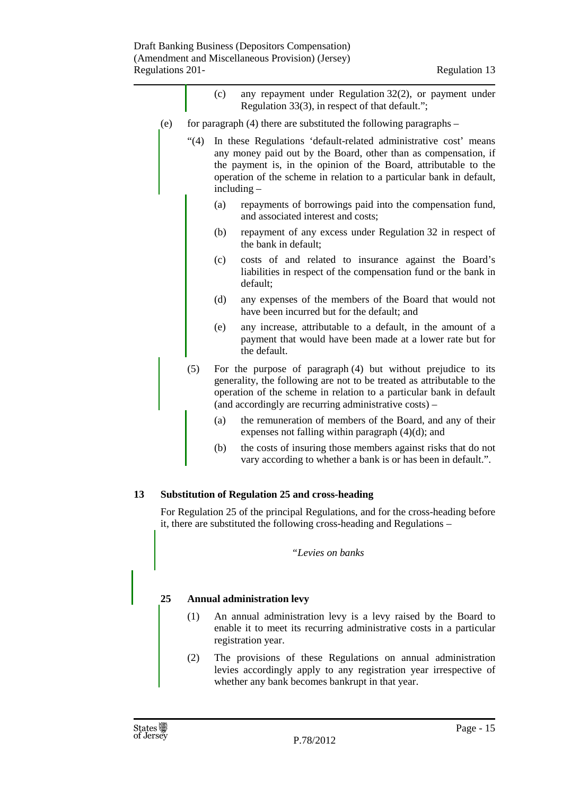|     |     | (c)                                                                                                                                                                                                                                                                                              | any repayment under Regulation 32(2), or payment under<br>Regulation 33(3), in respect of that default.";                                |  |
|-----|-----|--------------------------------------------------------------------------------------------------------------------------------------------------------------------------------------------------------------------------------------------------------------------------------------------------|------------------------------------------------------------------------------------------------------------------------------------------|--|
| (e) |     |                                                                                                                                                                                                                                                                                                  | for paragraph $(4)$ there are substituted the following paragraphs –                                                                     |  |
|     | (4) | In these Regulations 'default-related administrative cost' means<br>any money paid out by the Board, other than as compensation, if<br>the payment is, in the opinion of the Board, attributable to the<br>operation of the scheme in relation to a particular bank in default,<br>$including -$ |                                                                                                                                          |  |
|     |     | (a)                                                                                                                                                                                                                                                                                              | repayments of borrowings paid into the compensation fund,<br>and associated interest and costs;                                          |  |
|     |     | (b)                                                                                                                                                                                                                                                                                              | repayment of any excess under Regulation 32 in respect of<br>the bank in default;                                                        |  |
|     |     | (c)                                                                                                                                                                                                                                                                                              | costs of and related to insurance against the Board's<br>liabilities in respect of the compensation fund or the bank in<br>default;      |  |
|     |     | (d)                                                                                                                                                                                                                                                                                              | any expenses of the members of the Board that would not<br>have been incurred but for the default; and                                   |  |
|     |     | (e)                                                                                                                                                                                                                                                                                              | any increase, attributable to a default, in the amount of a<br>payment that would have been made at a lower rate but for<br>the default. |  |
|     | (5) | For the purpose of paragraph $(4)$ but without prejudice to its<br>generality, the following are not to be treated as attributable to the<br>operation of the scheme in relation to a particular bank in default<br>(and accordingly are recurring administrative costs) –                       |                                                                                                                                          |  |
|     |     | (a)                                                                                                                                                                                                                                                                                              | the remuneration of members of the Board, and any of their<br>expenses not falling within paragraph (4)(d); and                          |  |
|     |     | (b)                                                                                                                                                                                                                                                                                              | the costs of insuring those members against risks that do not<br>vary according to whether a bank is or has been in default.".           |  |
|     |     |                                                                                                                                                                                                                                                                                                  |                                                                                                                                          |  |

#### **13 Substitution of Regulation 25 and cross-heading**

For Regulation 25 of the principal Regulations, and for the cross-heading before it, there are substituted the following cross-heading and Regulations –

*"Levies on banks* 

#### **25 Annual administration levy**

- (1) An annual administration levy is a levy raised by the Board to enable it to meet its recurring administrative costs in a particular registration year.
- (2) The provisions of these Regulations on annual administration levies accordingly apply to any registration year irrespective of whether any bank becomes bankrupt in that year.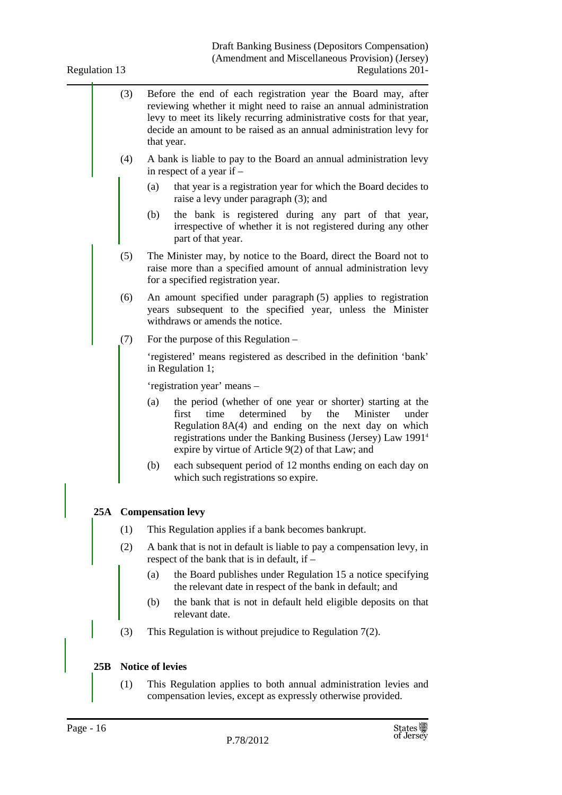Draft Banking Business (Depositors Compensation) (Amendment and Miscellaneous Provision) (Jersey) Regulations 201-

| Regulation 13<br>Regulations 201- |     |                                                                                                                                                                                                                                                                                                                               |
|-----------------------------------|-----|-------------------------------------------------------------------------------------------------------------------------------------------------------------------------------------------------------------------------------------------------------------------------------------------------------------------------------|
|                                   | (3) | Before the end of each registration year the Board may, after<br>reviewing whether it might need to raise an annual administration<br>levy to meet its likely recurring administrative costs for that year,<br>decide an amount to be raised as an annual administration levy for<br>that year.                               |
|                                   | (4) | A bank is liable to pay to the Board an annual administration levy<br>in respect of a year if $-$                                                                                                                                                                                                                             |
|                                   |     | that year is a registration year for which the Board decides to<br>(a)<br>raise a levy under paragraph (3); and                                                                                                                                                                                                               |
|                                   |     | the bank is registered during any part of that year,<br>(b)<br>irrespective of whether it is not registered during any other<br>part of that year.                                                                                                                                                                            |
|                                   | (5) | The Minister may, by notice to the Board, direct the Board not to<br>raise more than a specified amount of annual administration levy<br>for a specified registration year.                                                                                                                                                   |
|                                   | (6) | An amount specified under paragraph (5) applies to registration<br>years subsequent to the specified year, unless the Minister<br>withdraws or amends the notice.                                                                                                                                                             |
|                                   | (7) | For the purpose of this Regulation –                                                                                                                                                                                                                                                                                          |
|                                   |     | 'registered' means registered as described in the definition 'bank'<br>in Regulation 1;                                                                                                                                                                                                                                       |
|                                   |     | 'registration year' means –                                                                                                                                                                                                                                                                                                   |
|                                   |     | the period (whether of one year or shorter) starting at the<br>(a)<br>determined<br>by<br>the<br>first<br>time<br>Minister<br>under<br>Regulation $8A(4)$ and ending on the next day on which<br>registrations under the Banking Business (Jersey) Law 1991 <sup>4</sup><br>expire by virtue of Article 9(2) of that Law; and |
|                                   |     | (b)<br>each subsequent period of 12 months ending on each day on<br>which such registrations so expire.                                                                                                                                                                                                                       |
| 25A                               |     | <b>Compensation levy</b>                                                                                                                                                                                                                                                                                                      |
|                                   | (1) | This Regulation applies if a bank becomes bankrupt.                                                                                                                                                                                                                                                                           |
|                                   | (2) | A bank that is not in default is liable to pay a compensation levy, in<br>respect of the bank that is in default, if $-$                                                                                                                                                                                                      |
|                                   |     | the Board publishes under Regulation 15 a notice specifying<br>(a)<br>the relevant date in respect of the bank in default; and                                                                                                                                                                                                |
|                                   |     | the bank that is not in default held eligible deposits on that<br>(b)<br>relevant date.                                                                                                                                                                                                                                       |
|                                   | (3) | This Regulation is without prejudice to Regulation $7(2)$ .                                                                                                                                                                                                                                                                   |
| 25B                               |     | <b>Notice of levies</b>                                                                                                                                                                                                                                                                                                       |
|                                   | (1) | This Regulation applies to both annual administration levies and<br>compensation levies, except as expressly otherwise provided.                                                                                                                                                                                              |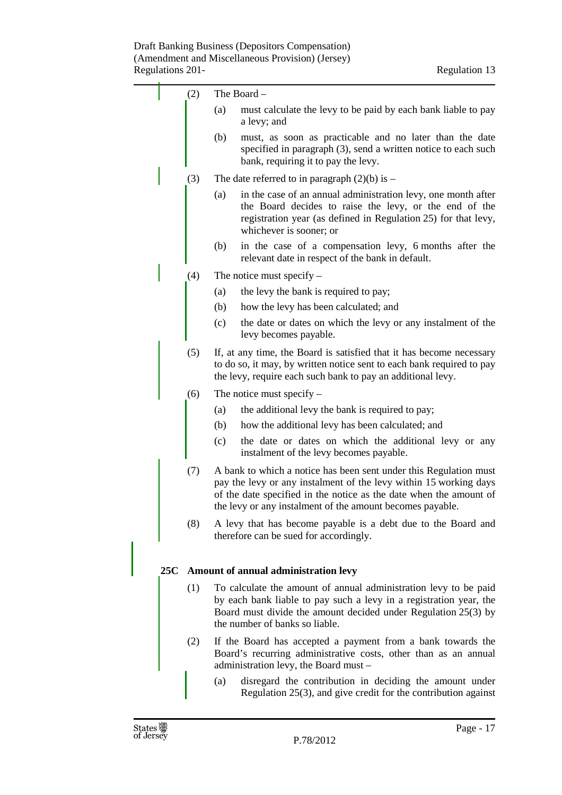|     | (2) | The Board -                                                                                                                                                                                                                                                               |                                                                                                                                                                                                                      |
|-----|-----|---------------------------------------------------------------------------------------------------------------------------------------------------------------------------------------------------------------------------------------------------------------------------|----------------------------------------------------------------------------------------------------------------------------------------------------------------------------------------------------------------------|
|     |     | (a)                                                                                                                                                                                                                                                                       | must calculate the levy to be paid by each bank liable to pay<br>a levy; and                                                                                                                                         |
|     |     | (b)                                                                                                                                                                                                                                                                       | must, as soon as practicable and no later than the date<br>specified in paragraph (3), send a written notice to each such<br>bank, requiring it to pay the levy.                                                     |
|     | (3) |                                                                                                                                                                                                                                                                           | The date referred to in paragraph $(2)(b)$ is –                                                                                                                                                                      |
|     |     | (a)                                                                                                                                                                                                                                                                       | in the case of an annual administration levy, one month after<br>the Board decides to raise the levy, or the end of the<br>registration year (as defined in Regulation 25) for that levy,<br>whichever is sooner; or |
|     |     | (b)                                                                                                                                                                                                                                                                       | in the case of a compensation levy, 6 months after the<br>relevant date in respect of the bank in default.                                                                                                           |
|     | (4) |                                                                                                                                                                                                                                                                           | The notice must specify -                                                                                                                                                                                            |
|     |     | (a)                                                                                                                                                                                                                                                                       | the levy the bank is required to pay;                                                                                                                                                                                |
|     |     | (b)                                                                                                                                                                                                                                                                       | how the levy has been calculated; and                                                                                                                                                                                |
|     |     | (c)                                                                                                                                                                                                                                                                       | the date or dates on which the levy or any instalment of the<br>levy becomes payable.                                                                                                                                |
|     | (5) | If, at any time, the Board is satisfied that it has become necessary<br>to do so, it may, by written notice sent to each bank required to pay<br>the levy, require each such bank to pay an additional levy.                                                              |                                                                                                                                                                                                                      |
|     | (6) |                                                                                                                                                                                                                                                                           | The notice must specify $-$                                                                                                                                                                                          |
|     |     | (a)                                                                                                                                                                                                                                                                       | the additional levy the bank is required to pay;                                                                                                                                                                     |
|     |     | (b)                                                                                                                                                                                                                                                                       | how the additional levy has been calculated; and                                                                                                                                                                     |
|     |     | (c)                                                                                                                                                                                                                                                                       | the date or dates on which the additional levy or any<br>instalment of the levy becomes payable.                                                                                                                     |
|     | (7) | A bank to which a notice has been sent under this Regulation must<br>pay the levy or any instalment of the levy within 15 working days<br>of the date specified in the notice as the date when the amount of<br>the levy or any instalment of the amount becomes payable. |                                                                                                                                                                                                                      |
|     | (8) | A levy that has become payable is a debt due to the Board and<br>therefore can be sued for accordingly.                                                                                                                                                                   |                                                                                                                                                                                                                      |
| 25C |     |                                                                                                                                                                                                                                                                           | Amount of annual administration levy                                                                                                                                                                                 |
|     | (1) |                                                                                                                                                                                                                                                                           | To calculate the amount of annual administration levy to be paid                                                                                                                                                     |
|     |     | by each bank liable to pay such a levy in a registration year, the<br>Board must divide the amount decided under Regulation 25(3) by<br>the number of banks so liable.                                                                                                    |                                                                                                                                                                                                                      |
|     | (2) |                                                                                                                                                                                                                                                                           | If the Board has accepted a payment from a bank towards the<br>Board's recurring administrative costs, other than as an annual<br>administration levy, the Board must -                                              |
|     |     | (a)                                                                                                                                                                                                                                                                       | disregard the contribution in deciding the amount under<br>Regulation $25(3)$ , and give credit for the contribution against                                                                                         |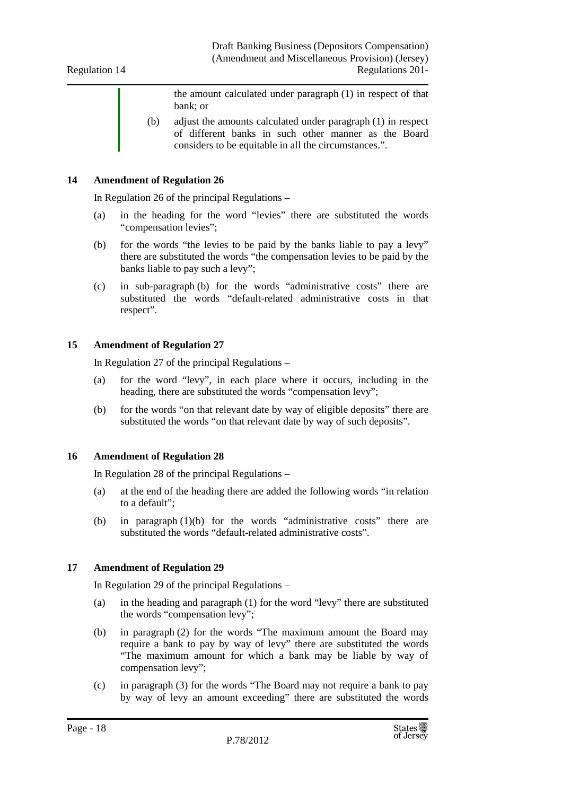the amount calculated under paragraph (1) in respect of that bank; or

(b) adjust the amounts calculated under paragraph (1) in respect of different banks in such other manner as the Board considers to be equitable in all the circumstances.".

#### **14 Amendment of Regulation 26**

In Regulation 26 of the principal Regulations –

- (a) in the heading for the word "levies" there are substituted the words "compensation levies";
- (b) for the words "the levies to be paid by the banks liable to pay a levy" there are substituted the words "the compensation levies to be paid by the banks liable to pay such a levy";
- (c) in sub-paragraph (b) for the words "administrative costs" there are substituted the words "default-related administrative costs in that respect".

#### **15 Amendment of Regulation 27**

In Regulation 27 of the principal Regulations –

- (a) for the word "levy", in each place where it occurs, including in the heading, there are substituted the words "compensation levy";
- (b) for the words "on that relevant date by way of eligible deposits" there are substituted the words "on that relevant date by way of such deposits".

#### **16 Amendment of Regulation 28**

In Regulation 28 of the principal Regulations –

- (a) at the end of the heading there are added the following words "in relation to a default";
- (b) in paragraph (1)(b) for the words "administrative costs" there are substituted the words "default-related administrative costs".

#### **17 Amendment of Regulation 29**

In Regulation 29 of the principal Regulations –

- (a) in the heading and paragraph (1) for the word "levy" there are substituted the words "compensation levy";
- (b) in paragraph (2) for the words "The maximum amount the Board may require a bank to pay by way of levy" there are substituted the words "The maximum amount for which a bank may be liable by way of compensation levy";
- (c) in paragraph (3) for the words "The Board may not require a bank to pay by way of levy an amount exceeding" there are substituted the words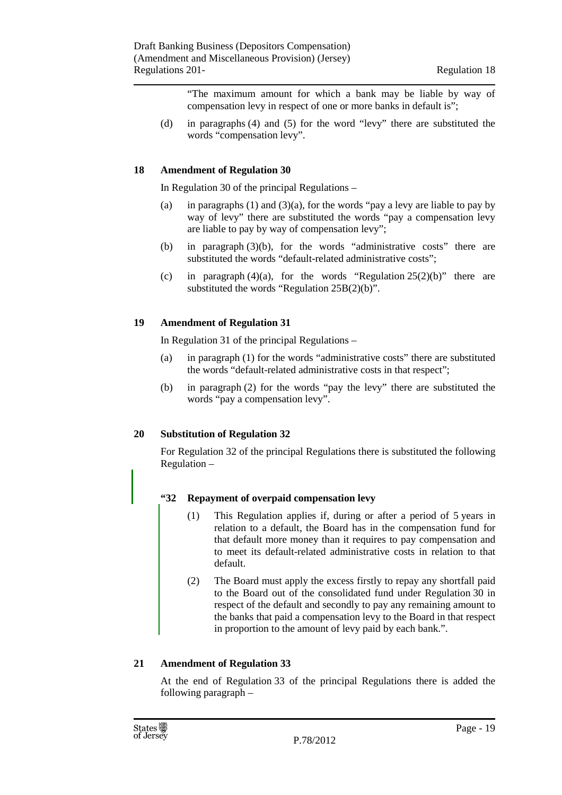"The maximum amount for which a bank may be liable by way of compensation levy in respect of one or more banks in default is";

(d) in paragraphs (4) and (5) for the word "levy" there are substituted the words "compensation levy".

#### **18 Amendment of Regulation 30**

In Regulation 30 of the principal Regulations –

- (a) in paragraphs (1) and (3)(a), for the words "pay a levy are liable to pay by way of levy" there are substituted the words "pay a compensation levy are liable to pay by way of compensation levy";
- (b) in paragraph (3)(b), for the words "administrative costs" there are substituted the words "default-related administrative costs";
- (c) in paragraph (4)(a), for the words "Regulation  $25(2)(b)$ " there are substituted the words "Regulation 25B(2)(b)".

#### **19 Amendment of Regulation 31**

In Regulation 31 of the principal Regulations –

- (a) in paragraph (1) for the words "administrative costs" there are substituted the words "default-related administrative costs in that respect";
- (b) in paragraph (2) for the words "pay the levy" there are substituted the words "pay a compensation levy".

#### **20 Substitution of Regulation 32**

For Regulation 32 of the principal Regulations there is substituted the following Regulation –

#### **"32 Repayment of overpaid compensation levy**

- (1) This Regulation applies if, during or after a period of 5 years in relation to a default, the Board has in the compensation fund for that default more money than it requires to pay compensation and to meet its default-related administrative costs in relation to that default.
- (2) The Board must apply the excess firstly to repay any shortfall paid to the Board out of the consolidated fund under Regulation 30 in respect of the default and secondly to pay any remaining amount to the banks that paid a compensation levy to the Board in that respect in proportion to the amount of levy paid by each bank.".

#### **21 Amendment of Regulation 33**

At the end of Regulation 33 of the principal Regulations there is added the following paragraph –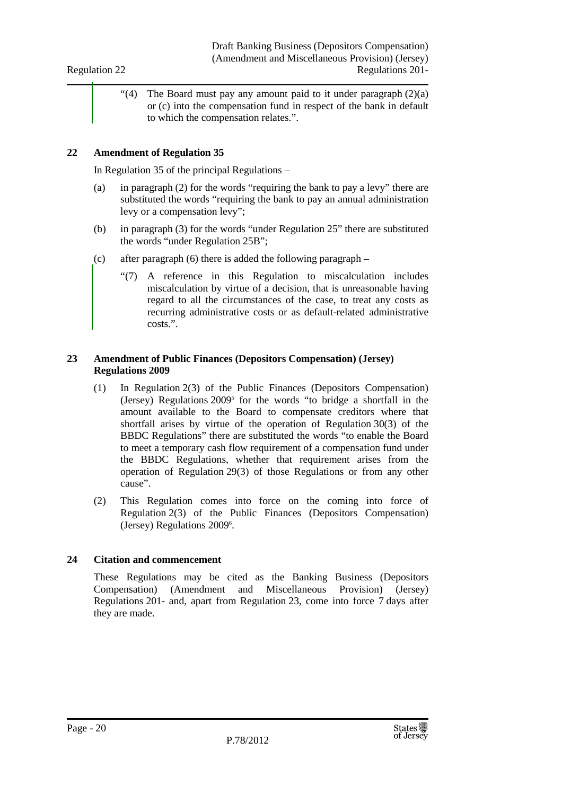Regulation 22

"(4) The Board must pay any amount paid to it under paragraph  $(2)(a)$ or (c) into the compensation fund in respect of the bank in default to which the compensation relates.".

#### **22 Amendment of Regulation 35**

In Regulation 35 of the principal Regulations –

- (a) in paragraph (2) for the words "requiring the bank to pay a levy" there are substituted the words "requiring the bank to pay an annual administration levy or a compensation levy";
- (b) in paragraph (3) for the words "under Regulation 25" there are substituted the words "under Regulation 25B";
- (c) after paragraph (6) there is added the following paragraph
	- "(7) A reference in this Regulation to miscalculation includes miscalculation by virtue of a decision, that is unreasonable having regard to all the circumstances of the case, to treat any costs as recurring administrative costs or as default-related administrative costs.".

#### **23 Amendment of Public Finances (Depositors Compensation) (Jersey) Regulations 2009**

- (1) In Regulation 2(3) of the Public Finances (Depositors Compensation) (Jersey) Regulations 2009<sup>5</sup> for the words "to bridge a shortfall in the amount available to the Board to compensate creditors where that shortfall arises by virtue of the operation of Regulation 30(3) of the BBDC Regulations" there are substituted the words "to enable the Board to meet a temporary cash flow requirement of a compensation fund under the BBDC Regulations, whether that requirement arises from the operation of Regulation 29(3) of those Regulations or from any other cause".
- (2) This Regulation comes into force on the coming into force of Regulation 2(3) of the Public Finances (Depositors Compensation) (Jersey) Regulations 2009<sup>6</sup>.

#### **24 Citation and commencement**

These Regulations may be cited as the Banking Business (Depositors Compensation) (Amendment and Miscellaneous Provision) (Jersey) Regulations 201- and, apart from Regulation 23, come into force 7 days after they are made.